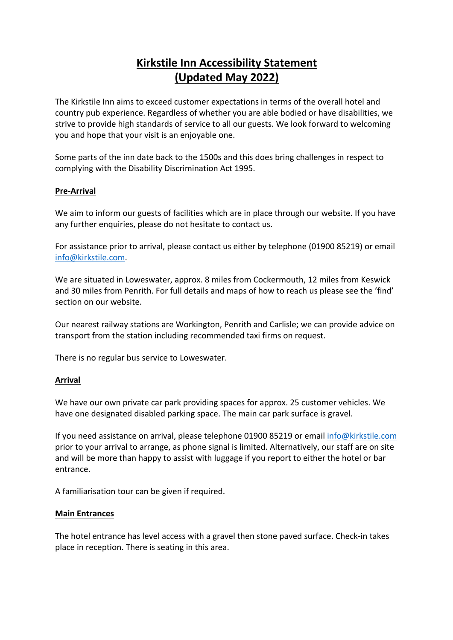# **Kirkstile Inn Accessibility Statement (Updated May 2022)**

The Kirkstile Inn aims to exceed customer expectations in terms of the overall hotel and country pub experience. Regardless of whether you are able bodied or have disabilities, we strive to provide high standards of service to all our guests. We look forward to welcoming you and hope that your visit is an enjoyable one.

Some parts of the inn date back to the 1500s and this does bring challenges in respect to complying with the Disability Discrimination Act 1995.

## **Pre-Arrival**

We aim to inform our guests of facilities which are in place through our website. If you have any further enquiries, please do not hesitate to contact us.

For assistance prior to arrival, please contact us either by telephone (01900 85219) or email info@kirkstile.com.

We are situated in Loweswater, approx. 8 miles from Cockermouth, 12 miles from Keswick and 30 miles from Penrith. For full details and maps of how to reach us please see the 'find' section on our website.

Our nearest railway stations are Workington, Penrith and Carlisle; we can provide advice on transport from the station including recommended taxi firms on request.

There is no regular bus service to Loweswater.

### **Arrival**

We have our own private car park providing spaces for approx. 25 customer vehicles. We have one designated disabled parking space. The main car park surface is gravel.

If you need assistance on arrival, please telephone 01900 85219 or email info@kirkstile.com prior to your arrival to arrange, as phone signal is limited. Alternatively, our staff are on site and will be more than happy to assist with luggage if you report to either the hotel or bar entrance.

A familiarisation tour can be given if required.

### **Main Entrances**

The hotel entrance has level access with a gravel then stone paved surface. Check-in takes place in reception. There is seating in this area.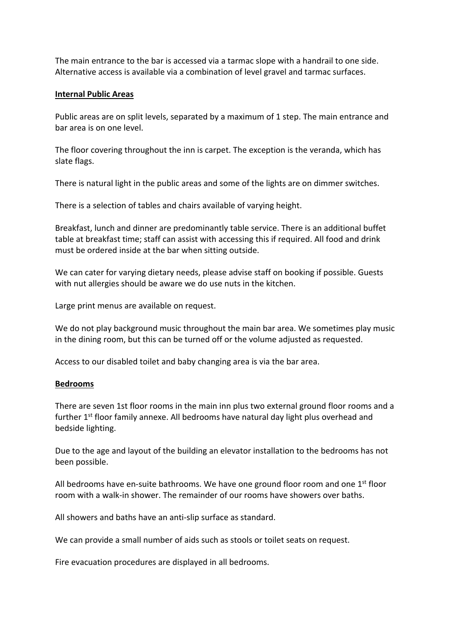The main entrance to the bar is accessed via a tarmac slope with a handrail to one side. Alternative access is available via a combination of level gravel and tarmac surfaces.

#### **Internal Public Areas**

Public areas are on split levels, separated by a maximum of 1 step. The main entrance and bar area is on one level.

The floor covering throughout the inn is carpet. The exception is the veranda, which has slate flags.

There is natural light in the public areas and some of the lights are on dimmer switches.

There is a selection of tables and chairs available of varying height.

Breakfast, lunch and dinner are predominantly table service. There is an additional buffet table at breakfast time; staff can assist with accessing this if required. All food and drink must be ordered inside at the bar when sitting outside.

We can cater for varying dietary needs, please advise staff on booking if possible. Guests with nut allergies should be aware we do use nuts in the kitchen.

Large print menus are available on request.

We do not play background music throughout the main bar area. We sometimes play music in the dining room, but this can be turned off or the volume adjusted as requested.

Access to our disabled toilet and baby changing area is via the bar area.

#### **Bedrooms**

There are seven 1st floor rooms in the main inn plus two external ground floor rooms and a further  $1<sup>st</sup>$  floor family annexe. All bedrooms have natural day light plus overhead and bedside lighting.

Due to the age and layout of the building an elevator installation to the bedrooms has not been possible.

All bedrooms have en-suite bathrooms. We have one ground floor room and one  $1<sup>st</sup>$  floor room with a walk-in shower. The remainder of our rooms have showers over baths.

All showers and baths have an anti-slip surface as standard.

We can provide a small number of aids such as stools or toilet seats on request.

Fire evacuation procedures are displayed in all bedrooms.